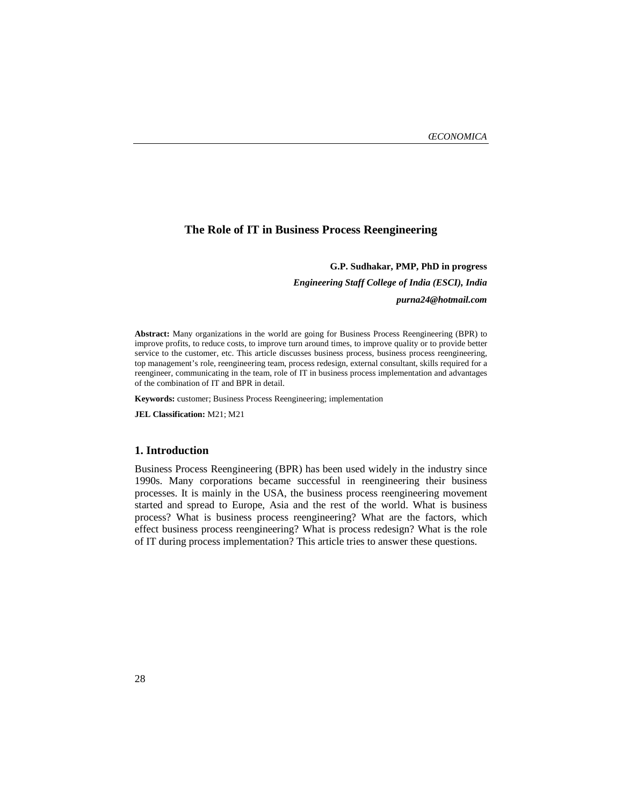# **The Role of IT in Business Process Reengineering**

#### **G.P. Sudhakar, PMP, PhD in progress**

*Engineering Staff College of India (ESCI), India* 

*purna24@hotmail.com* 

**Abstract:** Many organizations in the world are going for Business Process Reengineering (BPR) to improve profits, to reduce costs, to improve turn around times, to improve quality or to provide better service to the customer, etc. This article discusses business process, business process reengineering, top management's role, reengineering team, process redesign, external consultant, skills required for a reengineer, communicating in the team, role of IT in business process implementation and advantages of the combination of IT and BPR in detail.

**Keywords:** customer; Business Process Reengineering; implementation

**JEL Classification:** M21; M21

#### **1. Introduction**

Business Process Reengineering (BPR) has been used widely in the industry since 1990s. Many corporations became successful in reengineering their business processes. It is mainly in the USA, the business process reengineering movement started and spread to Europe, Asia and the rest of the world. What is business process? What is business process reengineering? What are the factors, which effect business process reengineering? What is process redesign? What is the role of IT during process implementation? This article tries to answer these questions.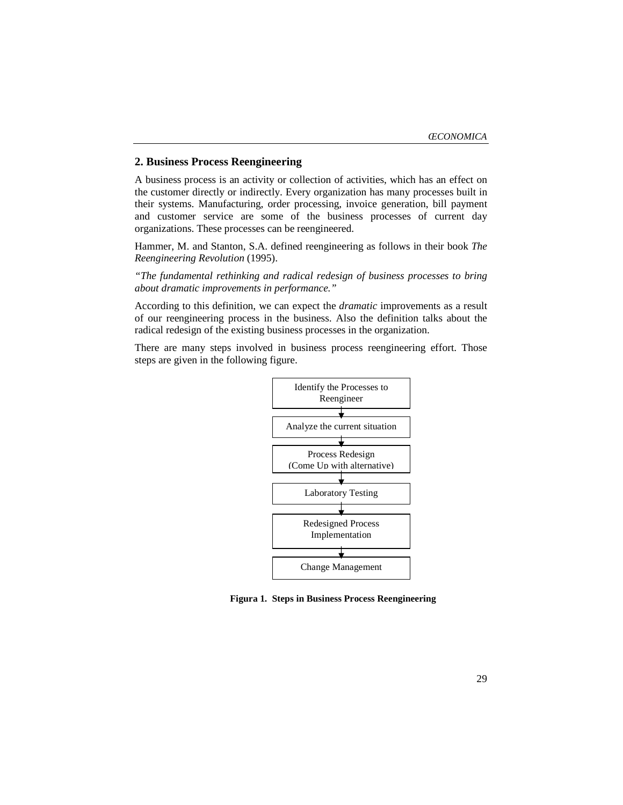# **2. Business Process Reengineering**

A business process is an activity or collection of activities, which has an effect on the customer directly or indirectly. Every organization has many processes built in their systems. Manufacturing, order processing, invoice generation, bill payment and customer service are some of the business processes of current day organizations. These processes can be reengineered.

Hammer, M. and Stanton, S.A. defined reengineering as follows in their book *The Reengineering Revolution* (1995).

*"The fundamental rethinking and radical redesign of business processes to bring about dramatic improvements in performance."* 

According to this definition, we can expect the *dramatic* improvements as a result of our reengineering process in the business. Also the definition talks about the radical redesign of the existing business processes in the organization.

There are many steps involved in business process reengineering effort. Those steps are given in the following figure.



**Figura 1. Steps in Business Process Reengineering**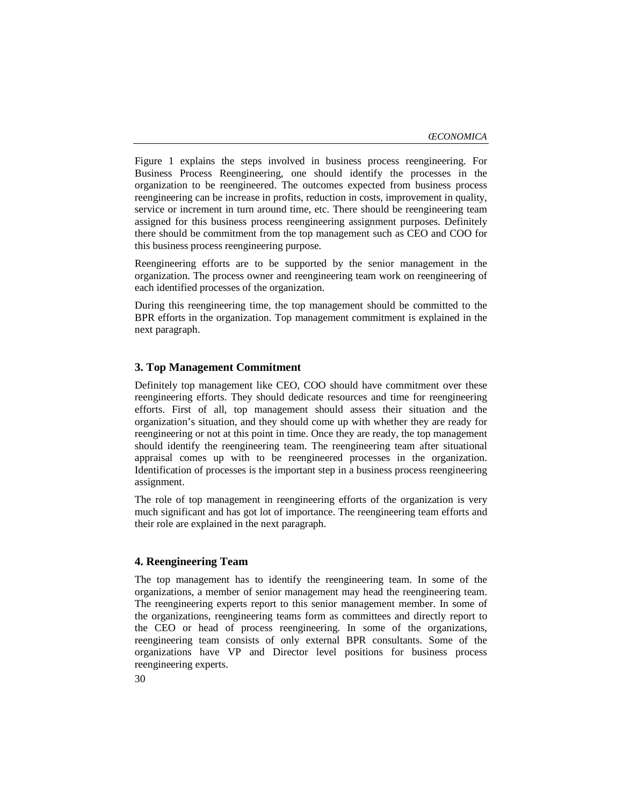Figure 1 explains the steps involved in business process reengineering. For Business Process Reengineering, one should identify the processes in the organization to be reengineered. The outcomes expected from business process reengineering can be increase in profits, reduction in costs, improvement in quality, service or increment in turn around time, etc. There should be reengineering team assigned for this business process reengineering assignment purposes. Definitely there should be commitment from the top management such as CEO and COO for this business process reengineering purpose.

Reengineering efforts are to be supported by the senior management in the organization. The process owner and reengineering team work on reengineering of each identified processes of the organization.

During this reengineering time, the top management should be committed to the BPR efforts in the organization. Top management commitment is explained in the next paragraph.

## **3. Top Management Commitment**

Definitely top management like CEO, COO should have commitment over these reengineering efforts. They should dedicate resources and time for reengineering efforts. First of all, top management should assess their situation and the organization's situation, and they should come up with whether they are ready for reengineering or not at this point in time. Once they are ready, the top management should identify the reengineering team. The reengineering team after situational appraisal comes up with to be reengineered processes in the organization. Identification of processes is the important step in a business process reengineering assignment.

The role of top management in reengineering efforts of the organization is very much significant and has got lot of importance. The reengineering team efforts and their role are explained in the next paragraph.

## **4. Reengineering Team**

The top management has to identify the reengineering team. In some of the organizations, a member of senior management may head the reengineering team. The reengineering experts report to this senior management member. In some of the organizations, reengineering teams form as committees and directly report to the CEO or head of process reengineering. In some of the organizations, reengineering team consists of only external BPR consultants. Some of the organizations have VP and Director level positions for business process reengineering experts.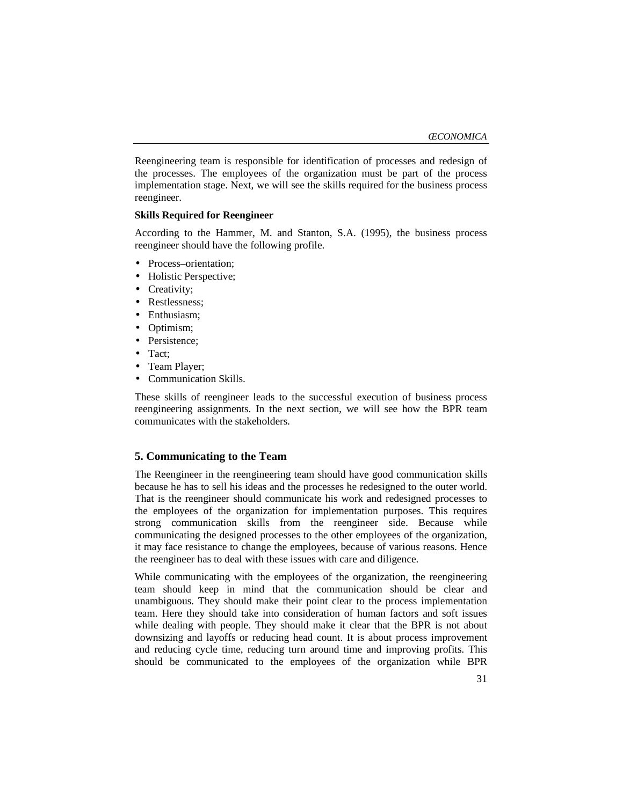Reengineering team is responsible for identification of processes and redesign of the processes. The employees of the organization must be part of the process implementation stage. Next, we will see the skills required for the business process reengineer.

### **Skills Required for Reengineer**

According to the Hammer, M. and Stanton, S.A. (1995), the business process reengineer should have the following profile.

- Process–orientation;
- Holistic Perspective;
- Creativity;
- Restlessness;
- Enthusiasm;
- Optimism;
- Persistence;
- Tact;
- Team Player;
- Communication Skills.

These skills of reengineer leads to the successful execution of business process reengineering assignments. In the next section, we will see how the BPR team communicates with the stakeholders.

## **5. Communicating to the Team**

The Reengineer in the reengineering team should have good communication skills because he has to sell his ideas and the processes he redesigned to the outer world. That is the reengineer should communicate his work and redesigned processes to the employees of the organization for implementation purposes. This requires strong communication skills from the reengineer side. Because while communicating the designed processes to the other employees of the organization, it may face resistance to change the employees, because of various reasons. Hence the reengineer has to deal with these issues with care and diligence.

While communicating with the employees of the organization, the reengineering team should keep in mind that the communication should be clear and unambiguous. They should make their point clear to the process implementation team. Here they should take into consideration of human factors and soft issues while dealing with people. They should make it clear that the BPR is not about downsizing and layoffs or reducing head count. It is about process improvement and reducing cycle time, reducing turn around time and improving profits. This should be communicated to the employees of the organization while BPR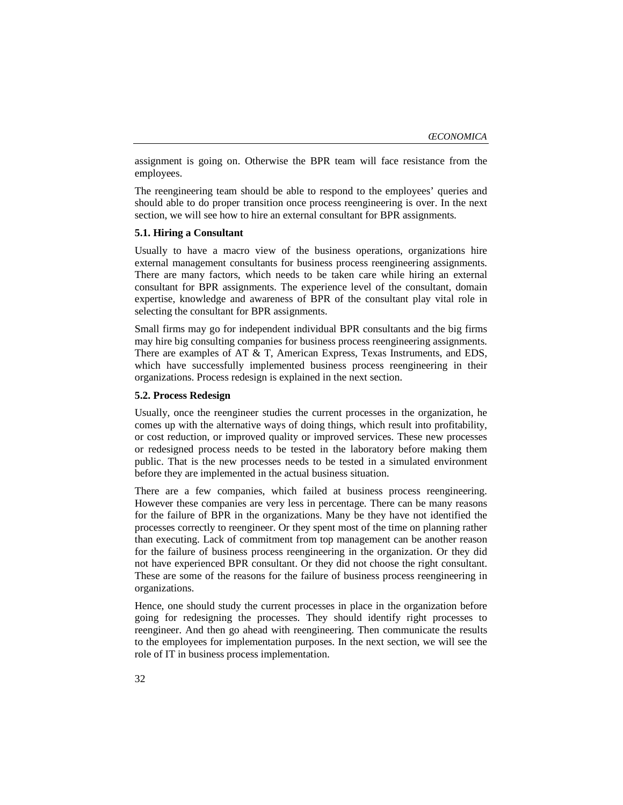assignment is going on. Otherwise the BPR team will face resistance from the employees.

The reengineering team should be able to respond to the employees' queries and should able to do proper transition once process reengineering is over. In the next section, we will see how to hire an external consultant for BPR assignments.

#### **5.1. Hiring a Consultant**

Usually to have a macro view of the business operations, organizations hire external management consultants for business process reengineering assignments. There are many factors, which needs to be taken care while hiring an external consultant for BPR assignments. The experience level of the consultant, domain expertise, knowledge and awareness of BPR of the consultant play vital role in selecting the consultant for BPR assignments.

Small firms may go for independent individual BPR consultants and the big firms may hire big consulting companies for business process reengineering assignments. There are examples of AT & T, American Express, Texas Instruments, and EDS, which have successfully implemented business process reengineering in their organizations. Process redesign is explained in the next section.

### **5.2. Process Redesign**

Usually, once the reengineer studies the current processes in the organization, he comes up with the alternative ways of doing things, which result into profitability, or cost reduction, or improved quality or improved services. These new processes or redesigned process needs to be tested in the laboratory before making them public. That is the new processes needs to be tested in a simulated environment before they are implemented in the actual business situation.

There are a few companies, which failed at business process reengineering. However these companies are very less in percentage. There can be many reasons for the failure of BPR in the organizations. Many be they have not identified the processes correctly to reengineer. Or they spent most of the time on planning rather than executing. Lack of commitment from top management can be another reason for the failure of business process reengineering in the organization. Or they did not have experienced BPR consultant. Or they did not choose the right consultant. These are some of the reasons for the failure of business process reengineering in organizations.

Hence, one should study the current processes in place in the organization before going for redesigning the processes. They should identify right processes to reengineer. And then go ahead with reengineering. Then communicate the results to the employees for implementation purposes. In the next section, we will see the role of IT in business process implementation.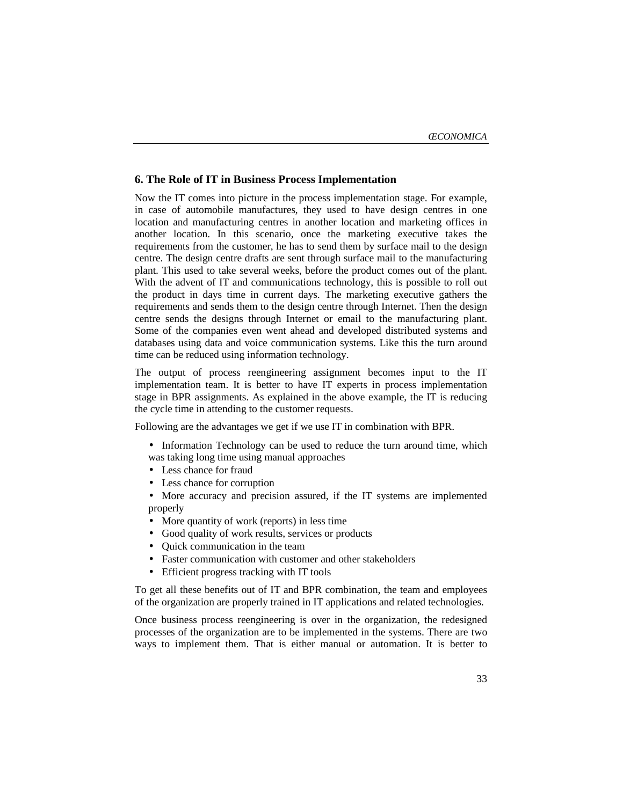## **6. The Role of IT in Business Process Implementation**

Now the IT comes into picture in the process implementation stage. For example, in case of automobile manufactures, they used to have design centres in one location and manufacturing centres in another location and marketing offices in another location. In this scenario, once the marketing executive takes the requirements from the customer, he has to send them by surface mail to the design centre. The design centre drafts are sent through surface mail to the manufacturing plant. This used to take several weeks, before the product comes out of the plant. With the advent of IT and communications technology, this is possible to roll out the product in days time in current days. The marketing executive gathers the requirements and sends them to the design centre through Internet. Then the design centre sends the designs through Internet or email to the manufacturing plant. Some of the companies even went ahead and developed distributed systems and databases using data and voice communication systems. Like this the turn around time can be reduced using information technology.

The output of process reengineering assignment becomes input to the IT implementation team. It is better to have IT experts in process implementation stage in BPR assignments. As explained in the above example, the IT is reducing the cycle time in attending to the customer requests.

Following are the advantages we get if we use IT in combination with BPR.

- Information Technology can be used to reduce the turn around time, which was taking long time using manual approaches
- Less chance for fraud
- Less chance for corruption
- More accuracy and precision assured, if the IT systems are implemented properly
- More quantity of work (reports) in less time
- Good quality of work results, services or products
- Quick communication in the team
- Faster communication with customer and other stakeholders
- Efficient progress tracking with IT tools

To get all these benefits out of IT and BPR combination, the team and employees of the organization are properly trained in IT applications and related technologies.

Once business process reengineering is over in the organization, the redesigned processes of the organization are to be implemented in the systems. There are two ways to implement them. That is either manual or automation. It is better to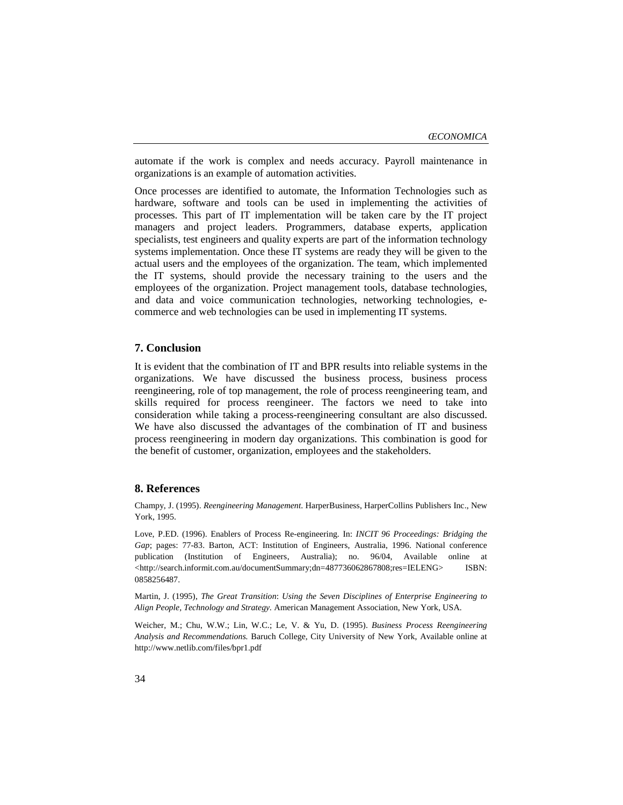automate if the work is complex and needs accuracy. Payroll maintenance in organizations is an example of automation activities.

Once processes are identified to automate, the Information Technologies such as hardware, software and tools can be used in implementing the activities of processes. This part of IT implementation will be taken care by the IT project managers and project leaders. Programmers, database experts, application specialists, test engineers and quality experts are part of the information technology systems implementation. Once these IT systems are ready they will be given to the actual users and the employees of the organization. The team, which implemented the IT systems, should provide the necessary training to the users and the employees of the organization. Project management tools, database technologies, and data and voice communication technologies, networking technologies, ecommerce and web technologies can be used in implementing IT systems.

#### **7. Conclusion**

It is evident that the combination of IT and BPR results into reliable systems in the organizations. We have discussed the business process, business process reengineering, role of top management, the role of process reengineering team, and skills required for process reengineer. The factors we need to take into consideration while taking a process-reengineering consultant are also discussed. We have also discussed the advantages of the combination of IT and business process reengineering in modern day organizations. This combination is good for the benefit of customer, organization, employees and the stakeholders.

### **8. References**

Champy, J. (1995). *Reengineering Management*. HarperBusiness, HarperCollins Publishers Inc., New York, 1995.

Love, P.ED. (1996). Enablers of Process Re-engineering. In: *INCIT 96 Proceedings: Bridging the Gap*; pages: 77-83. Barton, ACT: Institution of Engineers, Australia, 1996. National conference publication (Institution of Engineers, Australia); no. 96/04, Available online at <http://search.informit.com.au/documentSummary;dn=487736062867808;res=IELENG> ISBN: 0858256487.

Martin, J. (1995), *The Great Transition*: *Using the Seven Disciplines of Enterprise Engineering to Align People, Technology and Strategy.* American Management Association, New York, USA.

Weicher, M.; Chu, W.W.; Lin, W.C.; Le, V. & Yu, D. (1995). *Business Process Reengineering Analysis and Recommendations.* Baruch College, City University of New York, Available online at http://www.netlib.com/files/bpr1.pdf